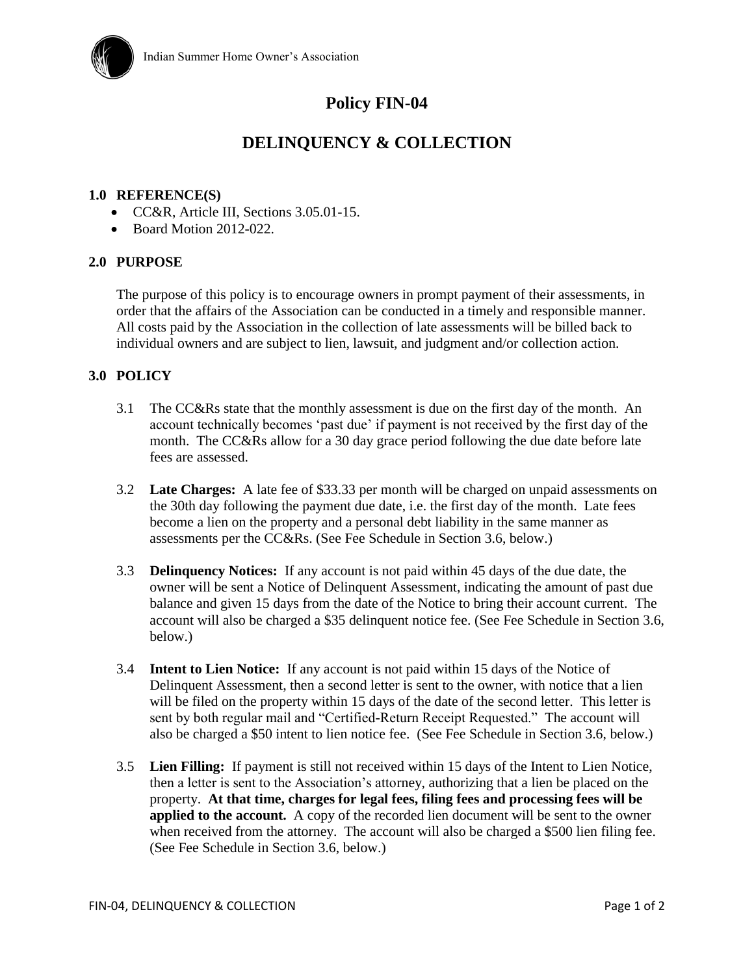

# **Policy FIN-04**

## **DELINQUENCY & COLLECTION**

#### **1.0 REFERENCE(S)**

- CC&R, Article III, Sections 3.05.01-15.
- $\bullet$  Board Motion 2012-022.

#### **2.0 PURPOSE**

The purpose of this policy is to encourage owners in prompt payment of their assessments, in order that the affairs of the Association can be conducted in a timely and responsible manner. All costs paid by the Association in the collection of late assessments will be billed back to individual owners and are subject to lien, lawsuit, and judgment and/or collection action.

#### **3.0 POLICY**

- 3.1 The CC&Rs state that the monthly assessment is due on the first day of the month. An account technically becomes 'past due' if payment is not received by the first day of the month. The CC&Rs allow for a 30 day grace period following the due date before late fees are assessed.
- 3.2 **Late Charges:** A late fee of \$33.33 per month will be charged on unpaid assessments on the 30th day following the payment due date, i.e. the first day of the month. Late fees become a lien on the property and a personal debt liability in the same manner as assessments per the CC&Rs. (See Fee Schedule in Section 3.6, below.)
- 3.3 **Delinquency Notices:** If any account is not paid within 45 days of the due date, the owner will be sent a Notice of Delinquent Assessment, indicating the amount of past due balance and given 15 days from the date of the Notice to bring their account current. The account will also be charged a \$35 delinquent notice fee. (See Fee Schedule in Section 3.6, below.)
- 3.4 **Intent to Lien Notice:** If any account is not paid within 15 days of the Notice of Delinquent Assessment, then a second letter is sent to the owner, with notice that a lien will be filed on the property within 15 days of the date of the second letter. This letter is sent by both regular mail and "Certified-Return Receipt Requested." The account will also be charged a \$50 intent to lien notice fee. (See Fee Schedule in Section 3.6, below.)
- 3.5 **Lien Filling:** If payment is still not received within 15 days of the Intent to Lien Notice, then a letter is sent to the Association's attorney, authorizing that a lien be placed on the property. **At that time, charges for legal fees, filing fees and processing fees will be applied to the account.** A copy of the recorded lien document will be sent to the owner when received from the attorney. The account will also be charged a \$500 lien filing fee. (See Fee Schedule in Section 3.6, below.)